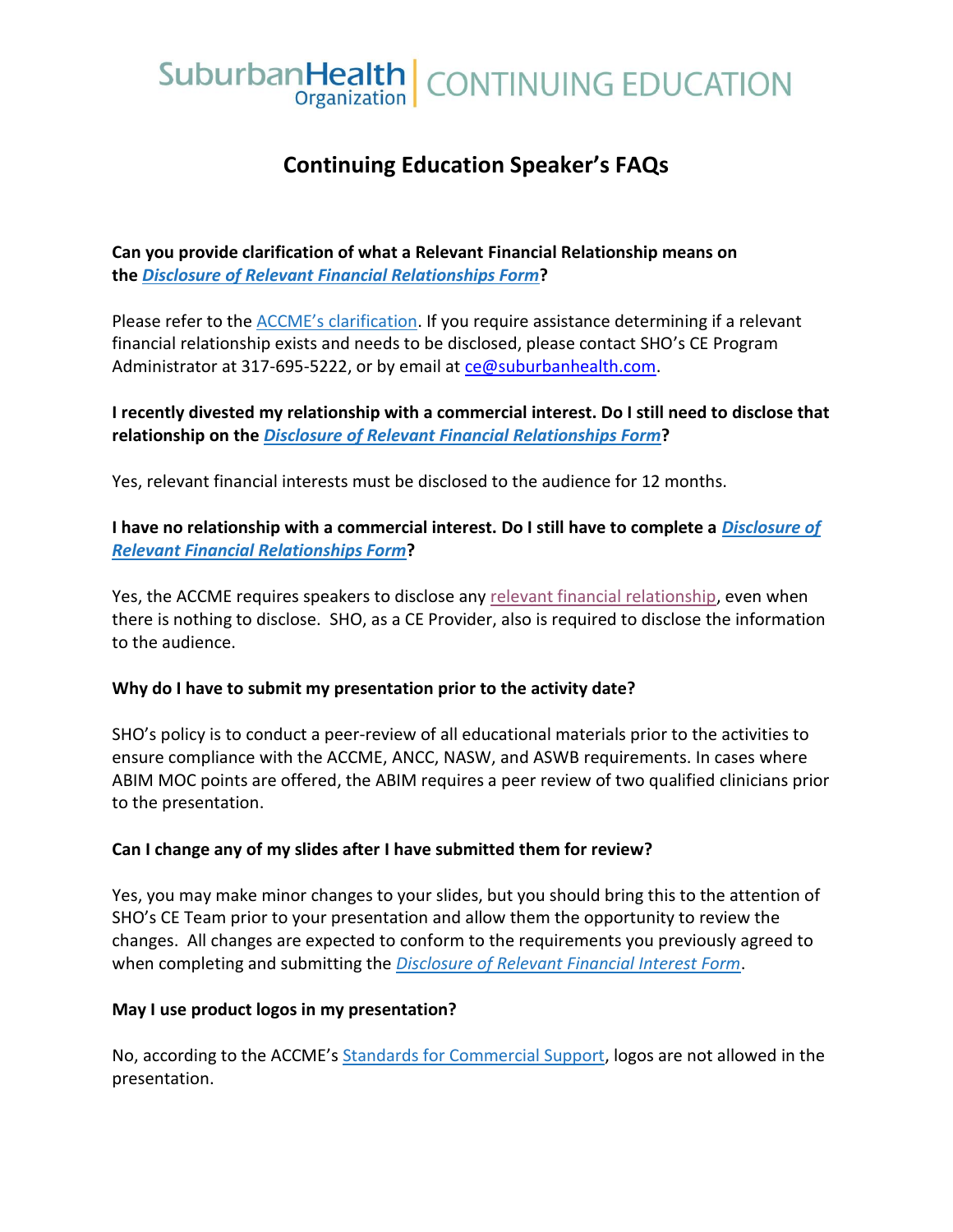# SuburbanHealth | CONTINUING EDUCATION

## **Continuing Education Speaker's FAQs**

**Can you provide clarification of what a Relevant Financial Relationship means on the** *[Disclosure of Relevant Financial Relationships Form](https://www.suburbanhealth.com/wp-content/uploads/2019/10/2019-Financial-Disclosure-New-Version.pdf)***?**

Please refer to the [ACCME's clarification](https://www.accme.org/accreditation-rules/standards-for-integrity-independence-accredited-ce/standard-3-identify-mitigate-and-disclose-relevant-financial-relationships). If you require assistance determining if a relevant financial relationship exists and needs to be disclosed, please contact SHO's CE Program Administrator at 317-695-5222, or by email at [ce@suburbanhealth.com.](mailto:ce@suburbanhealth.com)

**I recently divested my relationship with a commercial interest. Do I still need to disclose that relationship on the** *[Disclosure of Relevant Financial Relationships Form](https://www.suburbanhealth.com/wp-content/uploads/2019/10/2019-Financial-Disclosure-New-Version.pdf)***?**

Yes, relevant financial interests must be disclosed to the audience for 12 months.

**I have no relationship with a commercial interest. Do I still have to complete a** *[Disclosure of](https://www.suburbanhealth.com/wp-content/uploads/2019/10/2019-Financial-Disclosure-New-Version.pdf)  [Relevant Financial Relationships Form](https://www.suburbanhealth.com/wp-content/uploads/2019/10/2019-Financial-Disclosure-New-Version.pdf)***?**

Yes, the ACCME requires speakers to disclose any [relevant financial relationship,](https://www.accme.org/accreditation-rules/standards-for-integrity-independence-accredited-ce/standard-3-identify-mitigate-and-disclose-relevant-financial-relationships) even when there is nothing to disclose. SHO, as a CE Provider, also is required to disclose the information to the audience.

### **Why do I have to submit my presentation prior to the activity date?**

SHO's policy is to conduct a peer-review of all educational materials prior to the activities to ensure compliance with the ACCME, ANCC, NASW, and ASWB requirements. In cases where ABIM MOC points are offered, the ABIM requires a peer review of two qualified clinicians prior to the presentation.

### **Can I change any of my slides after I have submitted them for review?**

Yes, you may make minor changes to your slides, but you should bring this to the attention of SHO's CE Team prior to your presentation and allow them the opportunity to review the changes. All changes are expected to conform to the requirements you previously agreed to when completing and submitting the *[Disclosure of Relevant Financial Interest Form](https://www.suburbanhealth.com/wp-content/uploads/2019/10/2019-Financial-Disclosure-New-Version.pdf)*.

### **May I use product logos in my presentation?**

No, according to the ACCME's **Standards for Commercial Support**, logos are not allowed in the presentation.